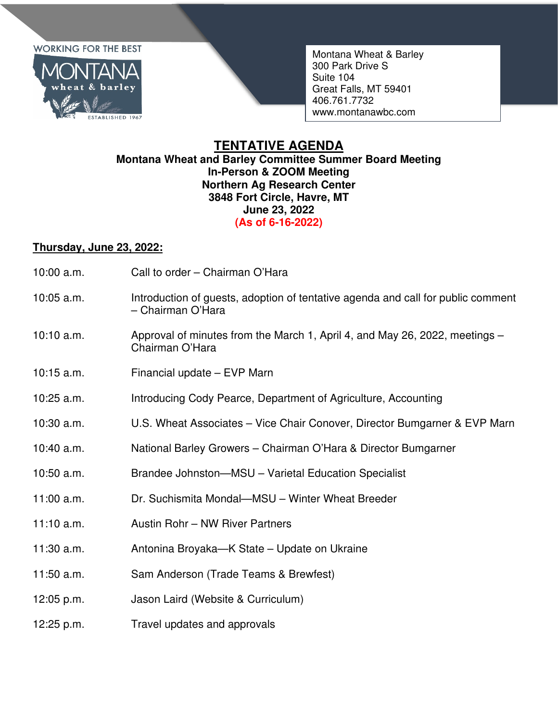## **WORKING FOR THE BEST**



Montana Wheat & Barley 300 Park Drive S Suite 104 Great Falls, MT 59401 406.761.7732 www.montanawbc.com

## **TENTATIVE AGENDA Montana Wheat and Barley Committee Summer Board Meeting In-Person & ZOOM Meeting Northern Ag Research Center 3848 Fort Circle, Havre, MT June 23, 2022 (As of 6-16-2022)**

## **Thursday, June 23, 2022:**

- 10:00 a.m. Call to order Chairman O'Hara
- 10:05 a.m. Introduction of guests, adoption of tentative agenda and call for public comment – Chairman O'Hara
- 10:10 a.m. Approval of minutes from the March 1, April 4, and May 26, 2022, meetings Chairman O'Hara
- 10:15 a.m. Financial update EVP Marn
- 10:25 a.m. Introducing Cody Pearce, Department of Agriculture, Accounting
- 10:30 a.m. U.S. Wheat Associates Vice Chair Conover, Director Bumgarner & EVP Marn
- 10:40 a.m. National Barley Growers Chairman O'Hara & Director Bumgarner
- 10:50 a.m. Brandee Johnston—MSU Varietal Education Specialist
- 11:00 a.m. Dr. Suchismita Mondal—MSU Winter Wheat Breeder
- 11:10 a.m. Austin Rohr NW River Partners
- 11:30 a.m. Antonina Broyaka—K State Update on Ukraine
- 11:50 a.m. Sam Anderson (Trade Teams & Brewfest)
- 12:05 p.m. Jason Laird (Website & Curriculum)
- 12:25 p.m. Travel updates and approvals